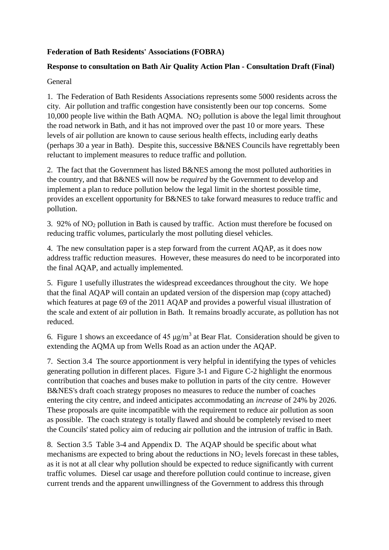## **Federation of Bath Residents' Associations (FOBRA)**

## **Response to consultation on Bath Air Quality Action Plan - Consultation Draft (Final)**

## General

1. The Federation of Bath Residents Associations represents some 5000 residents across the city. Air pollution and traffic congestion have consistently been our top concerns. Some 10,000 people live within the Bath AQMA.  $NO<sub>2</sub>$  pollution is above the legal limit throughout the road network in Bath, and it has not improved over the past 10 or more years. These levels of air pollution are known to cause serious health effects, including early deaths (perhaps 30 a year in Bath). Despite this, successive B&NES Councils have regrettably been reluctant to implement measures to reduce traffic and pollution.

2. The fact that the Government has listed B&NES among the most polluted authorities in the country, and that B&NES will now be *required* by the Government to develop and implement a plan to reduce pollution below the legal limit in the shortest possible time, provides an excellent opportunity for B&NES to take forward measures to reduce traffic and pollution.

3. 92% of NO<sup>2</sup> pollution in Bath is caused by traffic. Action must therefore be focused on reducing traffic volumes, particularly the most polluting diesel vehicles.

4. The new consultation paper is a step forward from the current AQAP, as it does now address traffic reduction measures. However, these measures do need to be incorporated into the final AQAP, and actually implemented.

5. Figure 1 usefully illustrates the widespread exceedances throughout the city. We hope that the final AQAP will contain an updated version of the dispersion map (copy attached) which features at page 69 of the 2011 AQAP and provides a powerful visual illustration of the scale and extent of air pollution in Bath. It remains broadly accurate, as pollution has not reduced.

6. Figure 1 shows an exceedance of 45  $\mu$ g/m<sup>3</sup> at Bear Flat. Consideration should be given to extending the AQMA up from Wells Road as an action under the AQAP.

7. Section 3.4 The source apportionment is very helpful in identifying the types of vehicles generating pollution in different places. Figure 3-1 and Figure C-2 highlight the enormous contribution that coaches and buses make to pollution in parts of the city centre. However B&NES's draft coach strategy proposes no measures to reduce the number of coaches entering the city centre, and indeed anticipates accommodating an *increase* of 24% by 2026. These proposals are quite incompatible with the requirement to reduce air pollution as soon as possible. The coach strategy is totally flawed and should be completely revised to meet the Councils' stated policy aim of reducing air pollution and the intrusion of traffic in Bath.

8. Section 3.5 Table 3-4 and Appendix D. The AQAP should be specific about what mechanisms are expected to bring about the reductions in  $NO<sub>2</sub>$  levels forecast in these tables, as it is not at all clear why pollution should be expected to reduce significantly with current traffic volumes. Diesel car usage and therefore pollution could continue to increase, given current trends and the apparent unwillingness of the Government to address this through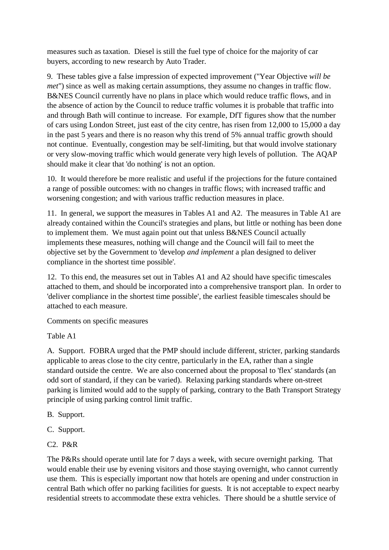measures such as taxation. Diesel is still the fuel type of choice for the majority of car buyers, according to new research by Auto Trader.

9. These tables give a false impression of expected improvement ("Year Objective *will be met*") since as well as making certain assumptions, they assume no changes in traffic flow. B&NES Council currently have no plans in place which would reduce traffic flows, and in the absence of action by the Council to reduce traffic volumes it is probable that traffic into and through Bath will continue to increase. For example, DfT figures show that the number of cars using London Street, just east of the city centre, has risen from 12,000 to 15,000 a day in the past 5 years and there is no reason why this trend of 5% annual traffic growth should not continue. Eventually, congestion may be self-limiting, but that would involve stationary or very slow-moving traffic which would generate very high levels of pollution. The AQAP should make it clear that 'do nothing' is not an option.

10. It would therefore be more realistic and useful if the projections for the future contained a range of possible outcomes: with no changes in traffic flows; with increased traffic and worsening congestion; and with various traffic reduction measures in place.

11. In general, we support the measures in Tables A1 and A2. The measures in Table A1 are already contained within the Council's strategies and plans, but little or nothing has been done to implement them. We must again point out that unless B&NES Council actually implements these measures, nothing will change and the Council will fail to meet the objective set by the Government to 'develop *and implement* a plan designed to deliver compliance in the shortest time possible'.

12. To this end, the measures set out in Tables A1 and A2 should have specific timescales attached to them, and should be incorporated into a comprehensive transport plan. In order to 'deliver compliance in the shortest time possible', the earliest feasible timescales should be attached to each measure.

Comments on specific measures

Table A1

A. Support. FOBRA urged that the PMP should include different, stricter, parking standards applicable to areas close to the city centre, particularly in the EA, rather than a single standard outside the centre. We are also concerned about the proposal to 'flex' standards (an odd sort of standard, if they can be varied). Relaxing parking standards where on-street parking is limited would add to the supply of parking, contrary to the Bath Transport Strategy principle of using parking control limit traffic.

B. Support.

- C. Support.
- C2. P&R

The P&Rs should operate until late for 7 days a week, with secure overnight parking. That would enable their use by evening visitors and those staying overnight, who cannot currently use them. This is especially important now that hotels are opening and under construction in central Bath which offer no parking facilities for guests. It is not acceptable to expect nearby residential streets to accommodate these extra vehicles. There should be a shuttle service of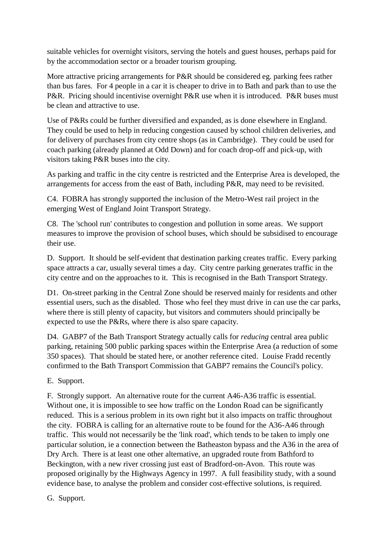suitable vehicles for overnight visitors, serving the hotels and guest houses, perhaps paid for by the accommodation sector or a broader tourism grouping.

More attractive pricing arrangements for P&R should be considered eg. parking fees rather than bus fares. For 4 people in a car it is cheaper to drive in to Bath and park than to use the P&R. Pricing should incentivise overnight P&R use when it is introduced. P&R buses must be clean and attractive to use.

Use of P&Rs could be further diversified and expanded, as is done elsewhere in England. They could be used to help in reducing congestion caused by school children deliveries, and for delivery of purchases from city centre shops (as in Cambridge). They could be used for coach parking (already planned at Odd Down) and for coach drop-off and pick-up, with visitors taking P&R buses into the city.

As parking and traffic in the city centre is restricted and the Enterprise Area is developed, the arrangements for access from the east of Bath, including P&R, may need to be revisited.

C4. FOBRA has strongly supported the inclusion of the Metro-West rail project in the emerging West of England Joint Transport Strategy.

C8. The 'school run' contributes to congestion and pollution in some areas. We support measures to improve the provision of school buses, which should be subsidised to encourage their use.

D. Support. It should be self-evident that destination parking creates traffic. Every parking space attracts a car, usually several times a day. City centre parking generates traffic in the city centre and on the approaches to it. This is recognised in the Bath Transport Strategy.

D1. On-street parking in the Central Zone should be reserved mainly for residents and other essential users, such as the disabled. Those who feel they must drive in can use the car parks, where there is still plenty of capacity, but visitors and commuters should principally be expected to use the P&Rs, where there is also spare capacity.

D4. GABP7 of the Bath Transport Strategy actually calls for *reducing* central area public parking, retaining 500 public parking spaces within the Enterprise Area (a reduction of some 350 spaces). That should be stated here, or another reference cited. Louise Fradd recently confirmed to the Bath Transport Commission that GABP7 remains the Council's policy.

E. Support.

F. Strongly support. An alternative route for the current A46-A36 traffic is essential. Without one, it is impossible to see how traffic on the London Road can be significantly reduced. This is a serious problem in its own right but it also impacts on traffic throughout the city. FOBRA is calling for an alternative route to be found for the A36-A46 through traffic. This would not necessarily be the 'link road', which tends to be taken to imply one particular solution, ie a connection between the Batheaston bypass and the A36 in the area of Dry Arch. There is at least one other alternative, an upgraded route from Bathford to Beckington, with a new river crossing just east of Bradford-on-Avon. This route was proposed originally by the Highways Agency in 1997. A full feasibility study, with a sound evidence base, to analyse the problem and consider cost-effective solutions, is required.

G. Support.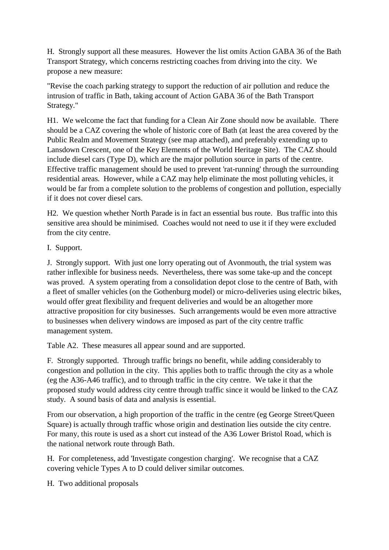H. Strongly support all these measures. However the list omits Action GABA 36 of the Bath Transport Strategy, which concerns restricting coaches from driving into the city. We propose a new measure:

"Revise the coach parking strategy to support the reduction of air pollution and reduce the intrusion of traffic in Bath, taking account of Action GABA 36 of the Bath Transport Strategy."

H1. We welcome the fact that funding for a Clean Air Zone should now be available. There should be a CAZ covering the whole of historic core of Bath (at least the area covered by the Public Realm and Movement Strategy (see map attached), and preferably extending up to Lansdown Crescent, one of the Key Elements of the World Heritage Site). The CAZ should include diesel cars (Type D), which are the major pollution source in parts of the centre. Effective traffic management should be used to prevent 'rat-running' through the surrounding residential areas. However, while a CAZ may help eliminate the most polluting vehicles, it would be far from a complete solution to the problems of congestion and pollution, especially if it does not cover diesel cars.

H2. We question whether North Parade is in fact an essential bus route. Bus traffic into this sensitive area should be minimised. Coaches would not need to use it if they were excluded from the city centre.

I. Support.

J. Strongly support. With just one lorry operating out of Avonmouth, the trial system was rather inflexible for business needs. Nevertheless, there was some take-up and the concept was proved. A system operating from a consolidation depot close to the centre of Bath, with a fleet of smaller vehicles (on the Gothenburg model) or micro-deliveries using electric bikes, would offer great flexibility and frequent deliveries and would be an altogether more attractive proposition for city businesses. Such arrangements would be even more attractive to businesses when delivery windows are imposed as part of the city centre traffic management system.

Table A2. These measures all appear sound and are supported.

F. Strongly supported. Through traffic brings no benefit, while adding considerably to congestion and pollution in the city. This applies both to traffic through the city as a whole (eg the A36-A46 traffic), and to through traffic in the city centre. We take it that the proposed study would address city centre through traffic since it would be linked to the CAZ study. A sound basis of data and analysis is essential.

From our observation, a high proportion of the traffic in the centre (eg George Street/Queen Square) is actually through traffic whose origin and destination lies outside the city centre. For many, this route is used as a short cut instead of the A36 Lower Bristol Road, which is the national network route through Bath.

H. For completeness, add 'Investigate congestion charging'. We recognise that a CAZ covering vehicle Types A to D could deliver similar outcomes.

H. Two additional proposals